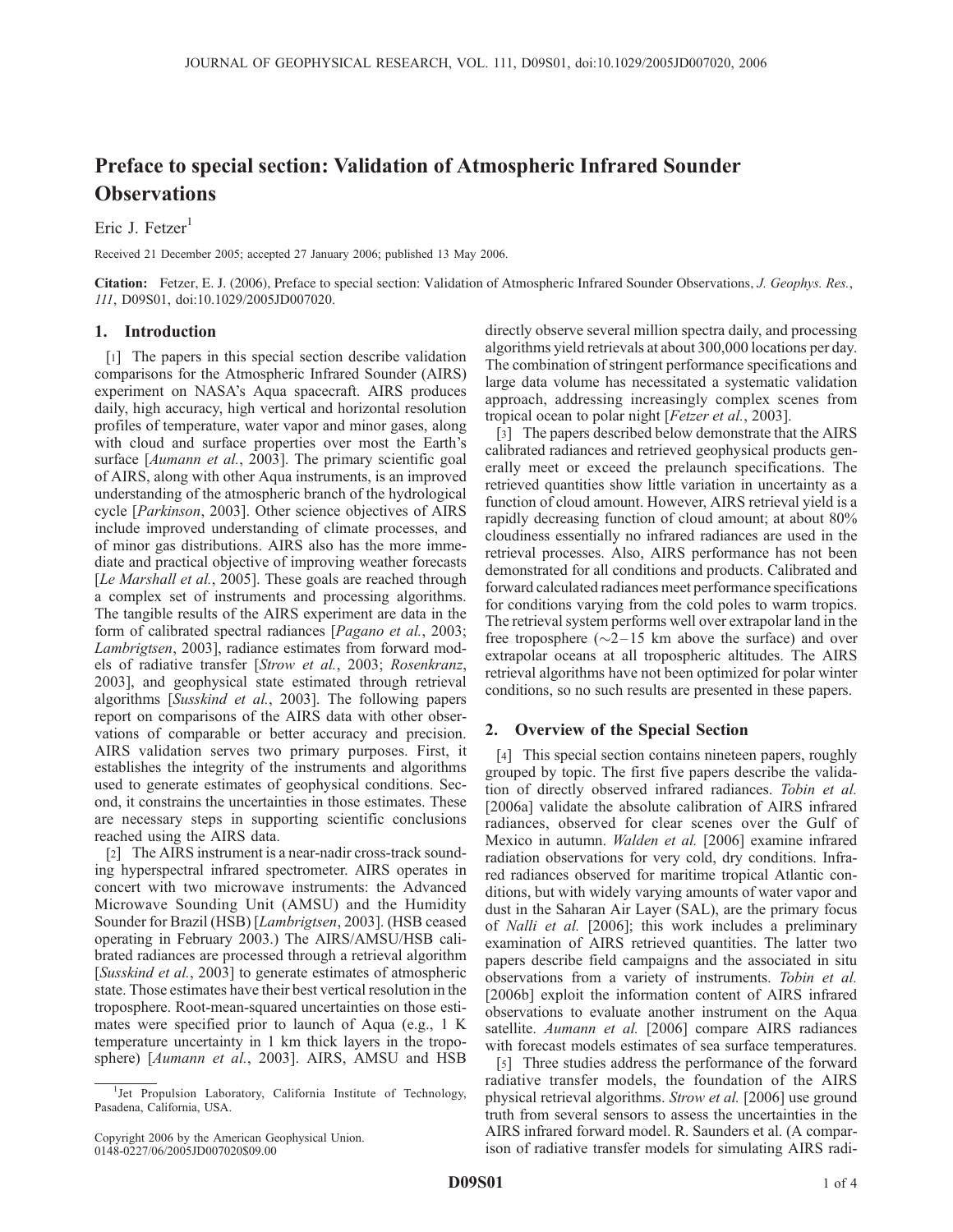# Preface to special section: Validation of Atmospheric Infrared Sounder **Observations**

Eric J. Fetzer<sup>1</sup>

Received 21 December 2005; accepted 27 January 2006; published 13 May 2006.

Citation: Fetzer, E. J. (2006), Preface to special section: Validation of Atmospheric Infrared Sounder Observations, J. Geophys. Res., 111, D09S01, doi:10.1029/2005JD007020.

### 1. Introduction

[1] The papers in this special section describe validation comparisons for the Atmospheric Infrared Sounder (AIRS) experiment on NASA's Aqua spacecraft. AIRS produces daily, high accuracy, high vertical and horizontal resolution profiles of temperature, water vapor and minor gases, along with cloud and surface properties over most the Earth's surface [Aumann et al., 2003]. The primary scientific goal of AIRS, along with other Aqua instruments, is an improved understanding of the atmospheric branch of the hydrological cycle [Parkinson, 2003]. Other science objectives of AIRS include improved understanding of climate processes, and of minor gas distributions. AIRS also has the more immediate and practical objective of improving weather forecasts [Le Marshall et al., 2005]. These goals are reached through a complex set of instruments and processing algorithms. The tangible results of the AIRS experiment are data in the form of calibrated spectral radiances [Pagano et al., 2003; Lambrigtsen, 2003], radiance estimates from forward models of radiative transfer [Strow et al., 2003; Rosenkranz, 2003], and geophysical state estimated through retrieval algorithms [Susskind et al., 2003]. The following papers report on comparisons of the AIRS data with other observations of comparable or better accuracy and precision. AIRS validation serves two primary purposes. First, it establishes the integrity of the instruments and algorithms used to generate estimates of geophysical conditions. Second, it constrains the uncertainties in those estimates. These are necessary steps in supporting scientific conclusions reached using the AIRS data.

[2] The AIRS instrument is a near-nadir cross-track sounding hyperspectral infrared spectrometer. AIRS operates in concert with two microwave instruments: the Advanced Microwave Sounding Unit (AMSU) and the Humidity Sounder for Brazil (HSB) [Lambrigtsen, 2003]. (HSB ceased operating in February 2003.) The AIRS/AMSU/HSB calibrated radiances are processed through a retrieval algorithm [Susskind et al., 2003] to generate estimates of atmospheric state. Those estimates have their best vertical resolution in the troposphere. Root-mean-squared uncertainties on those estimates were specified prior to launch of Aqua (e.g., 1 K temperature uncertainty in 1 km thick layers in the troposphere) [Aumann et al., 2003]. AIRS, AMSU and HSB

directly observe several million spectra daily, and processing algorithms yield retrievals at about 300,000 locations per day. The combination of stringent performance specifications and large data volume has necessitated a systematic validation approach, addressing increasingly complex scenes from tropical ocean to polar night [Fetzer et al., 2003].

[3] The papers described below demonstrate that the AIRS calibrated radiances and retrieved geophysical products generally meet or exceed the prelaunch specifications. The retrieved quantities show little variation in uncertainty as a function of cloud amount. However, AIRS retrieval yield is a rapidly decreasing function of cloud amount; at about 80% cloudiness essentially no infrared radiances are used in the retrieval processes. Also, AIRS performance has not been demonstrated for all conditions and products. Calibrated and forward calculated radiances meet performance specifications for conditions varying from the cold poles to warm tropics. The retrieval system performs well over extrapolar land in the free troposphere  $(\sim 2-15 \text{ km}$  above the surface) and over extrapolar oceans at all tropospheric altitudes. The AIRS retrieval algorithms have not been optimized for polar winter conditions, so no such results are presented in these papers.

## 2. Overview of the Special Section

[4] This special section contains nineteen papers, roughly grouped by topic. The first five papers describe the validation of directly observed infrared radiances. Tobin et al. [2006a] validate the absolute calibration of AIRS infrared radiances, observed for clear scenes over the Gulf of Mexico in autumn. Walden et al. [2006] examine infrared radiation observations for very cold, dry conditions. Infrared radiances observed for maritime tropical Atlantic conditions, but with widely varying amounts of water vapor and dust in the Saharan Air Layer (SAL), are the primary focus of Nalli et al. [2006]; this work includes a preliminary examination of AIRS retrieved quantities. The latter two papers describe field campaigns and the associated in situ observations from a variety of instruments. Tobin et al. [2006b] exploit the information content of AIRS infrared observations to evaluate another instrument on the Aqua satellite. Aumann et al. [2006] compare AIRS radiances with forecast models estimates of sea surface temperatures.

[5] Three studies address the performance of the forward radiative transfer models, the foundation of the AIRS physical retrieval algorithms. Strow et al. [2006] use ground truth from several sensors to assess the uncertainties in the AIRS infrared forward model. R. Saunders et al. (A comparison of radiative transfer models for simulating AIRS radi-

<sup>&</sup>lt;sup>1</sup>Jet Propulsion Laboratory, California Institute of Technology, Pasadena, California, USA.

Copyright 2006 by the American Geophysical Union. 0148-0227/06/2005JD007020\$09.00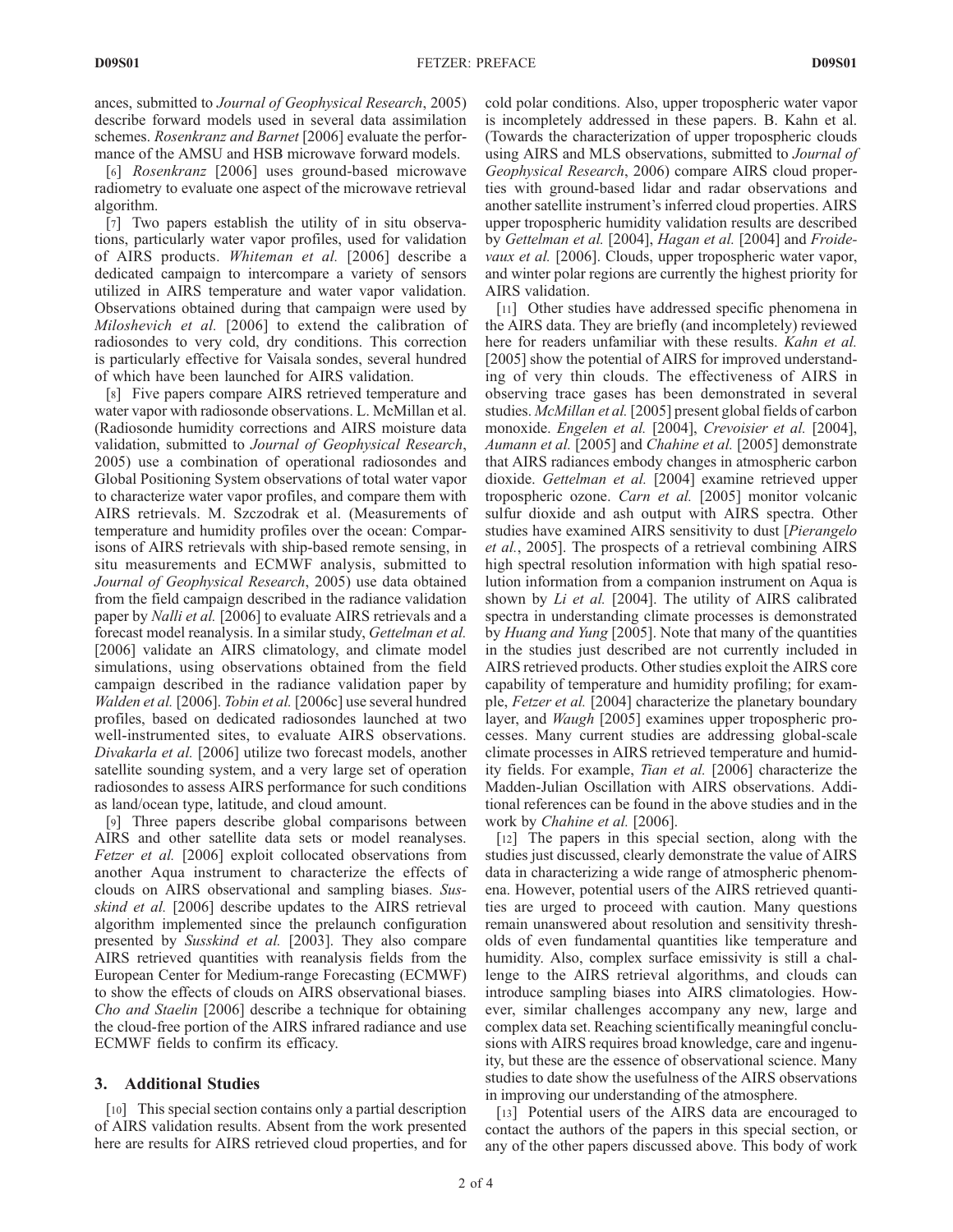ances, submitted to Journal of Geophysical Research, 2005) describe forward models used in several data assimilation schemes. Rosenkranz and Barnet [2006] evaluate the performance of the AMSU and HSB microwave forward models.

[6] Rosenkranz [2006] uses ground-based microwave radiometry to evaluate one aspect of the microwave retrieval algorithm.

[7] Two papers establish the utility of in situ observations, particularly water vapor profiles, used for validation of AIRS products. Whiteman et al. [2006] describe a dedicated campaign to intercompare a variety of sensors utilized in AIRS temperature and water vapor validation. Observations obtained during that campaign were used by Miloshevich et al. [2006] to extend the calibration of radiosondes to very cold, dry conditions. This correction is particularly effective for Vaisala sondes, several hundred of which have been launched for AIRS validation.

[8] Five papers compare AIRS retrieved temperature and water vapor with radiosonde observations. L. McMillan et al. (Radiosonde humidity corrections and AIRS moisture data validation, submitted to Journal of Geophysical Research, 2005) use a combination of operational radiosondes and Global Positioning System observations of total water vapor to characterize water vapor profiles, and compare them with AIRS retrievals. M. Szczodrak et al. (Measurements of temperature and humidity profiles over the ocean: Comparisons of AIRS retrievals with ship-based remote sensing, in situ measurements and ECMWF analysis, submitted to Journal of Geophysical Research, 2005) use data obtained from the field campaign described in the radiance validation paper by *Nalli et al.* [2006] to evaluate AIRS retrievals and a forecast model reanalysis. In a similar study, Gettelman et al. [2006] validate an AIRS climatology, and climate model simulations, using observations obtained from the field campaign described in the radiance validation paper by Walden et al. [2006]. Tobin et al. [2006c] use several hundred profiles, based on dedicated radiosondes launched at two well-instrumented sites, to evaluate AIRS observations. Divakarla et al. [2006] utilize two forecast models, another satellite sounding system, and a very large set of operation radiosondes to assess AIRS performance for such conditions as land/ocean type, latitude, and cloud amount.

[9] Three papers describe global comparisons between AIRS and other satellite data sets or model reanalyses. Fetzer et al. [2006] exploit collocated observations from another Aqua instrument to characterize the effects of clouds on AIRS observational and sampling biases. Susskind et al. [2006] describe updates to the AIRS retrieval algorithm implemented since the prelaunch configuration presented by Susskind et al. [2003]. They also compare AIRS retrieved quantities with reanalysis fields from the European Center for Medium-range Forecasting (ECMWF) to show the effects of clouds on AIRS observational biases. Cho and Staelin [2006] describe a technique for obtaining the cloud-free portion of the AIRS infrared radiance and use ECMWF fields to confirm its efficacy.

#### 3. Additional Studies

[10] This special section contains only a partial description of AIRS validation results. Absent from the work presented here are results for AIRS retrieved cloud properties, and for cold polar conditions. Also, upper tropospheric water vapor is incompletely addressed in these papers. B. Kahn et al. (Towards the characterization of upper tropospheric clouds using AIRS and MLS observations, submitted to Journal of Geophysical Research, 2006) compare AIRS cloud properties with ground-based lidar and radar observations and another satellite instrument's inferred cloud properties. AIRS upper tropospheric humidity validation results are described by Gettelman et al. [2004], Hagan et al. [2004] and Froidevaux et al. [2006]. Clouds, upper tropospheric water vapor, and winter polar regions are currently the highest priority for AIRS validation.

[11] Other studies have addressed specific phenomena in the AIRS data. They are briefly (and incompletely) reviewed here for readers unfamiliar with these results. Kahn et al. [2005] show the potential of AIRS for improved understanding of very thin clouds. The effectiveness of AIRS in observing trace gases has been demonstrated in several studies. McMillan et al. [2005] present global fields of carbon monoxide. Engelen et al. [2004], Crevoisier et al. [2004], Aumann et al. [2005] and Chahine et al. [2005] demonstrate that AIRS radiances embody changes in atmospheric carbon dioxide. Gettelman et al. [2004] examine retrieved upper tropospheric ozone. Carn et al. [2005] monitor volcanic sulfur dioxide and ash output with AIRS spectra. Other studies have examined AIRS sensitivity to dust [Pierangelo et al., 2005]. The prospects of a retrieval combining AIRS high spectral resolution information with high spatial resolution information from a companion instrument on Aqua is shown by *Li et al.* [2004]. The utility of AIRS calibrated spectra in understanding climate processes is demonstrated by Huang and Yung [2005]. Note that many of the quantities in the studies just described are not currently included in AIRS retrieved products. Other studies exploit the AIRS core capability of temperature and humidity profiling; for example, Fetzer et al. [2004] characterize the planetary boundary layer, and Waugh [2005] examines upper tropospheric processes. Many current studies are addressing global-scale climate processes in AIRS retrieved temperature and humidity fields. For example, Tian et al. [2006] characterize the Madden-Julian Oscillation with AIRS observations. Additional references can be found in the above studies and in the work by Chahine et al. [2006].

[12] The papers in this special section, along with the studies just discussed, clearly demonstrate the value of AIRS data in characterizing a wide range of atmospheric phenomena. However, potential users of the AIRS retrieved quantities are urged to proceed with caution. Many questions remain unanswered about resolution and sensitivity thresholds of even fundamental quantities like temperature and humidity. Also, complex surface emissivity is still a challenge to the AIRS retrieval algorithms, and clouds can introduce sampling biases into AIRS climatologies. However, similar challenges accompany any new, large and complex data set. Reaching scientifically meaningful conclusions with AIRS requires broad knowledge, care and ingenuity, but these are the essence of observational science. Many studies to date show the usefulness of the AIRS observations in improving our understanding of the atmosphere.

[13] Potential users of the AIRS data are encouraged to contact the authors of the papers in this special section, or any of the other papers discussed above. This body of work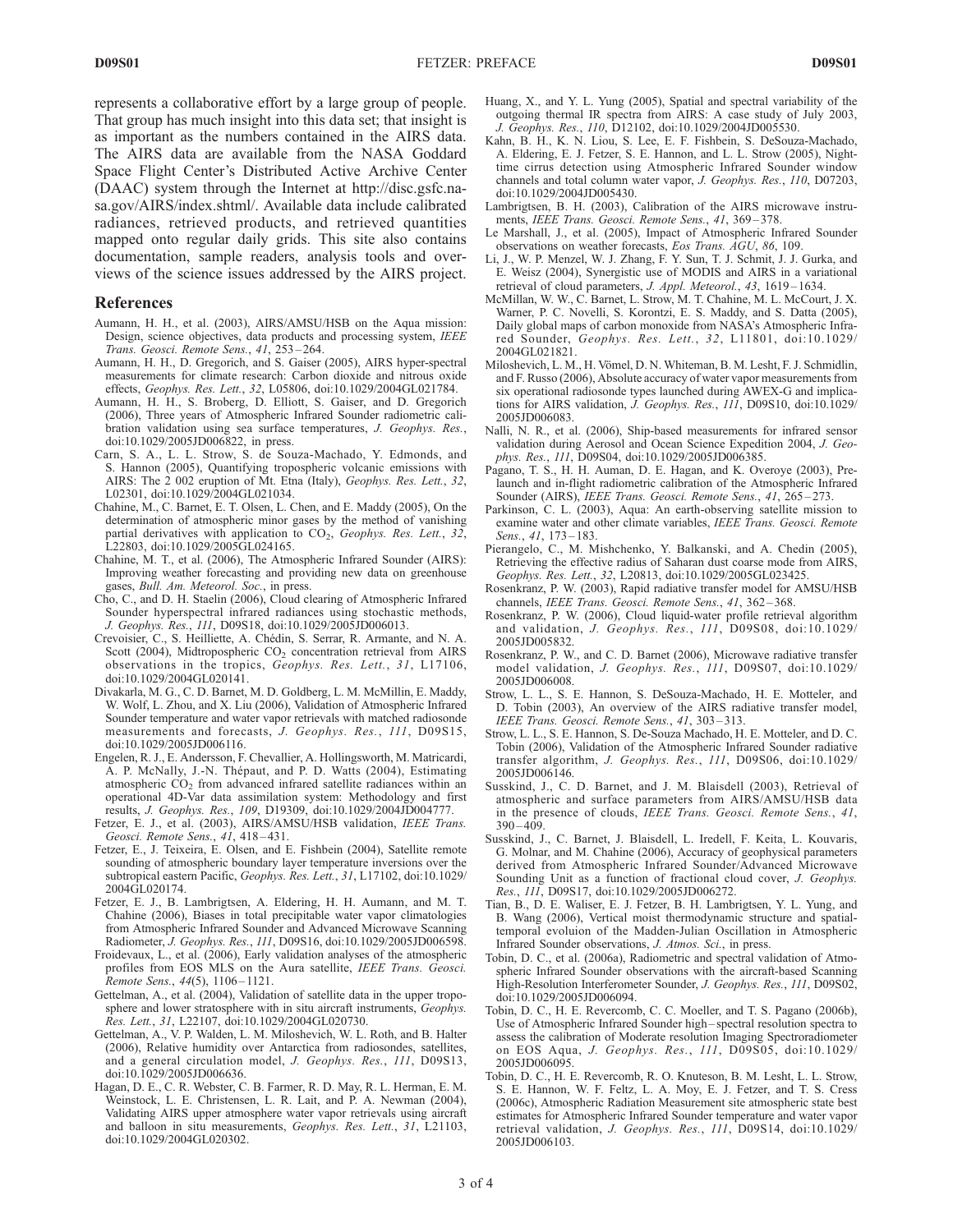represents a collaborative effort by a large group of people. That group has much insight into this data set; that insight is as important as the numbers contained in the AIRS data. The AIRS data are available from the NASA Goddard Space Flight Center's Distributed Active Archive Center (DAAC) system through the Internet at http://disc.gsfc.nasa.gov/AIRS/index.shtml/. Available data include calibrated radiances, retrieved products, and retrieved quantities mapped onto regular daily grids. This site also contains documentation, sample readers, analysis tools and overviews of the science issues addressed by the AIRS project.

#### References

- Aumann, H. H., et al. (2003), AIRS/AMSU/HSB on the Aqua mission: Design, science objectives, data products and processing system, IEEE Trans. Geosci. Remote Sens., 41, 253 – 264.
- Aumann, H. H., D. Gregorich, and S. Gaiser (2005), AIRS hyper-spectral measurements for climate research: Carbon dioxide and nitrous oxide effects, Geophys. Res. Lett., 32, L05806, doi:10.1029/2004GL021784.
- Aumann, H. H., S. Broberg, D. Elliott, S. Gaiser, and D. Gregorich (2006), Three years of Atmospheric Infrared Sounder radiometric calibration validation using sea surface temperatures, J. Geophys. Res., doi:10.1029/2005JD006822, in press.
- Carn, S. A., L. L. Strow, S. de Souza-Machado, Y. Edmonds, and S. Hannon (2005), Quantifying tropospheric volcanic emissions with AIRS: The 2 002 eruption of Mt. Etna (Italy), Geophys. Res. Lett., 32, L02301, doi:10.1029/2004GL021034.
- Chahine, M., C. Barnet, E. T. Olsen, L. Chen, and E. Maddy (2005), On the determination of atmospheric minor gases by the method of vanishing partial derivatives with application to  $CO<sub>2</sub>$ , Geophys. Res. Lett., 32, L22803, doi:10.1029/2005GL024165.
- Chahine, M. T., et al. (2006), The Atmospheric Infrared Sounder (AIRS): Improving weather forecasting and providing new data on greenhouse gases, Bull. Am. Meteorol. Soc., in press.
- Cho, C., and D. H. Staelin (2006), Cloud clearing of Atmospheric Infrared Sounder hyperspectral infrared radiances using stochastic methods, J. Geophys. Res., 111, D09S18, doi:10.1029/2005JD006013.
- Crevoisier, C., S. Heilliette, A. Chédin, S. Serrar, R. Armante, and N. A. Scott (2004), Midtropospheric  $CO<sub>2</sub>$  concentration retrieval from AIRS observations in the tropics, Geophys. Res. Lett., 31, L17106, doi:10.1029/2004GL020141.
- Divakarla, M. G., C. D. Barnet, M. D. Goldberg, L. M. McMillin, E. Maddy, W. Wolf, L. Zhou, and X. Liu (2006), Validation of Atmospheric Infrared Sounder temperature and water vapor retrievals with matched radiosonde measurements and forecasts, J. Geophys. Res., 111, D09S15, doi:10.1029/2005JD006116.
- Engelen, R. J., E. Andersson, F. Chevallier, A. Hollingsworth, M. Matricardi, A. P. McNally, J.-N. Thépaut, and P. D. Watts (2004), Estimating atmospheric CO<sub>2</sub> from advanced infrared satellite radiances within an operational 4D-Var data assimilation system: Methodology and first results, J. Geophys. Res., 109, D19309, doi:10.1029/2004JD004777.
- Fetzer, E. J., et al. (2003), AIRS/AMSU/HSB validation, IEEE Trans. Geosci. Remote Sens., 41, 418-431.
- Fetzer, E., J. Teixeira, E. Olsen, and E. Fishbein (2004), Satellite remote sounding of atmospheric boundary layer temperature inversions over the subtropical eastern Pacific, Geophys. Res. Lett., 31, L17102, doi:10.1029/ 2004GL020174.
- Fetzer, E. J., B. Lambrigtsen, A. Eldering, H. H. Aumann, and M. T. Chahine (2006), Biases in total precipitable water vapor climatologies from Atmospheric Infrared Sounder and Advanced Microwave Scanning Radiometer, J. Geophys. Res., 111, D09S16, doi:10.1029/2005JD006598.
- Froidevaux, L., et al. (2006), Early validation analyses of the atmospheric profiles from EOS MLS on the Aura satellite, IEEE Trans. Geosci. Remote Sens., 44(5), 1106-1121.
- Gettelman, A., et al. (2004), Validation of satellite data in the upper troposphere and lower stratosphere with in situ aircraft instruments. Geophys. Res. Lett., 31, L22107, doi:10.1029/2004GL020730.
- Gettelman, A., V. P. Walden, L. M. Miloshevich, W. L. Roth, and B. Halter (2006), Relative humidity over Antarctica from radiosondes, satellites, and a general circulation model, J. Geophys. Res., 111, D09S13, doi:10.1029/2005JD006636.
- Hagan, D. E., C. R. Webster, C. B. Farmer, R. D. May, R. L. Herman, E. M. Weinstock, L. E. Christensen, L. R. Lait, and P. A. Newman (2004), Validating AIRS upper atmosphere water vapor retrievals using aircraft and balloon in situ measurements, Geophys. Res. Lett., 31, L21103, doi:10.1029/2004GL020302.
- Huang, X., and Y. L. Yung (2005), Spatial and spectral variability of the outgoing thermal IR spectra from AIRS: A case study of July 2003, J. Geophys. Res., 110, D12102, doi:10.1029/2004JD005530.
- Kahn, B. H., K. N. Liou, S. Lee, E. F. Fishbein, S. DeSouza-Machado, A. Eldering, E. J. Fetzer, S. E. Hannon, and L. L. Strow (2005), Nighttime cirrus detection using Atmospheric Infrared Sounder window channels and total column water vapor, J. Geophys. Res., 110, D07203, doi:10.1029/2004JD005430.
- Lambrigtsen, B. H. (2003), Calibration of the AIRS microwave instruments, IEEE Trans. Geosci. Remote Sens., 41, 369-378.
- Le Marshall, J., et al. (2005), Impact of Atmospheric Infrared Sounder observations on weather forecasts, Eos Trans. AGU, 86, 109.
- Li, J., W. P. Menzel, W. J. Zhang, F. Y. Sun, T. J. Schmit, J. J. Gurka, and E. Weisz (2004), Synergistic use of MODIS and AIRS in a variational retrieval of cloud parameters, J. Appl. Meteorol., 43, 1619-1634.
- McMillan, W. W., C. Barnet, L. Strow, M. T. Chahine, M. L. McCourt, J. X. Warner, P. C. Novelli, S. Korontzi, E. S. Maddy, and S. Datta (2005), Daily global maps of carbon monoxide from NASA's Atmospheric Infrared Sounder, Geophys. Res. Lett., 32, L11801, doi:10.1029/ 2004GL021821.
- Miloshevich, L. M., H. Vömel, D. N. Whiteman, B. M. Lesht, F. J. Schmidlin, and F. Russo (2006), Absolute accuracy of water vapor measurements from six operational radiosonde types launched during AWEX-G and implications for AIRS validation, J. Geophys. Res., 111, D09S10, doi:10.1029/ 2005JD006083.
- Nalli, N. R., et al. (2006), Ship-based measurements for infrared sensor validation during Aerosol and Ocean Science Expedition 2004, J. Geophys. Res., 111, D09S04, doi:10.1029/2005JD006385.
- Pagano, T. S., H. H. Auman, D. E. Hagan, and K. Overoye (2003), Prelaunch and in-flight radiometric calibration of the Atmospheric Infrared Sounder (AIRS), IEEE Trans. Geosci. Remote Sens., 41, 265-273.
- Parkinson, C. L. (2003), Aqua: An earth-observing satellite mission to examine water and other climate variables, IEEE Trans. Geosci. Remote Sens., 41, 173-183.
- Pierangelo, C., M. Mishchenko, Y. Balkanski, and A. Chedin (2005), Retrieving the effective radius of Saharan dust coarse mode from AIRS, Geophys. Res. Lett., 32, L20813, doi:10.1029/2005GL023425.
- Rosenkranz, P. W. (2003), Rapid radiative transfer model for AMSU/HSB channels, IEEE Trans. Geosci. Remote Sens., 41, 362-368.
- Rosenkranz, P. W. (2006), Cloud liquid-water profile retrieval algorithm and validation, J. Geophys. Res., 111, D09S08, doi:10.1029/ 2005JD005832.
- Rosenkranz, P. W., and C. D. Barnet (2006), Microwave radiative transfer model validation, J. Geophys. Res., 111, D09S07, doi:10.1029/ 2005JD006008.
- Strow, L. L., S. E. Hannon, S. DeSouza-Machado, H. E. Motteler, and D. Tobin (2003), An overview of the AIRS radiative transfer model, IEEE Trans. Geosci. Remote Sens., 41, 303 – 313.
- Strow, L. L., S. E. Hannon, S. De-Souza Machado, H. E. Motteler, and D. C. Tobin (2006), Validation of the Atmospheric Infrared Sounder radiative transfer algorithm, J. Geophys. Res., 111, D09S06, doi:10.1029/ 2005JD006146.
- Susskind, J., C. D. Barnet, and J. M. Blaisdell (2003), Retrieval of atmospheric and surface parameters from AIRS/AMSU/HSB data in the presence of clouds, IEEE Trans. Geosci. Remote Sens., 41,  $390 - 409.$
- Susskind, J., C. Barnet, J. Blaisdell, L. Iredell, F. Keita, L. Kouvaris, G. Molnar, and M. Chahine (2006), Accuracy of geophysical parameters derived from Atmospheric Infrared Sounder/Advanced Microwave Sounding Unit as a function of fractional cloud cover, J. Geophys. Res., 111, D09S17, doi:10.1029/2005JD006272.
- Tian, B., D. E. Waliser, E. J. Fetzer, B. H. Lambrigtsen, Y. L. Yung, and B. Wang (2006), Vertical moist thermodynamic structure and spatialtemporal evoluion of the Madden-Julian Oscillation in Atmospheric Infrared Sounder observations, J. Atmos. Sci., in press.
- Tobin, D. C., et al. (2006a), Radiometric and spectral validation of Atmospheric Infrared Sounder observations with the aircraft-based Scanning High-Resolution Interferometer Sounder, J. Geophys. Res., 111, D09S02, doi:10.1029/2005JD006094.
- Tobin, D. C., H. E. Revercomb, C. C. Moeller, and T. S. Pagano (2006b), Use of Atmospheric Infrared Sounder high – spectral resolution spectra to assess the calibration of Moderate resolution Imaging Spectroradiometer on EOS Aqua, J. Geophys. Res., 111, D09S05, doi:10.1029/ 2005JD006095.
- Tobin, D. C., H. E. Revercomb, R. O. Knuteson, B. M. Lesht, L. L. Strow, S. E. Hannon, W. F. Feltz, L. A. Moy, E. J. Fetzer, and T. S. Cress (2006c), Atmospheric Radiation Measurement site atmospheric state best estimates for Atmospheric Infrared Sounder temperature and water vapor retrieval validation, J. Geophys. Res., 111, D09S14, doi:10.1029/ 2005JD006103.